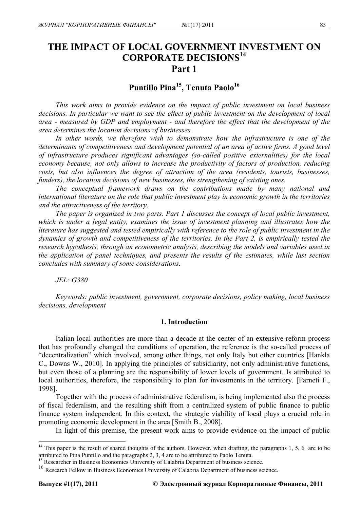# **THE IMPACT OF LOCAL GOVERNMENT INVESTMENT ON CORPORATE DECISIONS14 Part 1**

Puntillo Pina<sup>15</sup>, Tenuta Paolo<sup>16</sup>

*This work aims to provide evidence on the impact of public investment on local business decisions. In particular we want to see the effect of public investment on the development of local area - measured by GDP and employment - and therefore the effect that the development of the area determines the location decisions of businesses.* 

In other words, we therefore wish to demonstrate how the infrastructure is one of the *determinants of competitiveness and development potential of an area of active firms. A good level of infrastructure produces significant advantages (so-called positive externalities) for the local economy because, not only allows to increase the productivity of factors of production, reducing costs, but also influences the degree of attraction of the area (residents, tourists, businesses, funders), the location decisions of new businesses, the strengthening of existing ones.* 

*The conceptual framework draws on the contributions made by many national and international literature on the role that public investment play in economic growth in the territories and the attractiveness of the territory.* 

*The paper is organized in two parts. Part 1 discusses the concept of local public investment, which is under a legal entity, examines the issue of investment planning and illustrates how the literature has suggested and tested empirically with reference to the role of public investment in the dynamics of growth and competitiveness of the territories. In the Part 2, is empirically tested the research hypothesis, through an econometric analysis, describing the models and variables used in the application of panel techniques, and presents the results of the estimates, while last section concludes with summary of some considerations.* 

*JEL: G380* 

*Keywords: public investment, government, corporate decisions, policy making, local business decisions, development* 

## **1. Introduction**

Italian local authorities are more than a decade at the center of an extensive reform process that has profoundly changed the conditions of operation, the reference is the so-called process of "decentralization" which involved, among other things, not only Italy but other countries [Hankla C., Downs W., 2010]. In applying the principles of subsidiarity, not only administrative functions, but even those of a planning are the responsibility of lower levels of government. Is attributed to local authorities, therefore, the responsibility to plan for investments in the territory. [Farneti F., 1998].

Together with the process of administrative federalism, is being implemented also the process of fiscal federalism, and the resulting shift from a centralized system of public finance to public finance system independent. In this context, the strategic viability of local plays a crucial role in promoting economic development in the area [Smith B., 2008].

In light of this premise, the present work aims to provide evidence on the impact of public

<u>.</u>

 $14$  This paper is the result of shared thoughts of the authors. However, when drafting, the paragraphs 1, 5, 6 are to be attributed to Pina Puntillo and the paragraphs 2, 3, 4 are to be attributed to Paolo Tenuta. 15 Researcher in Business Economics University of Calabria Department of business science.

<sup>&</sup>lt;sup>16</sup> Research Fellow in Business Economics University of Calabria Department of business science.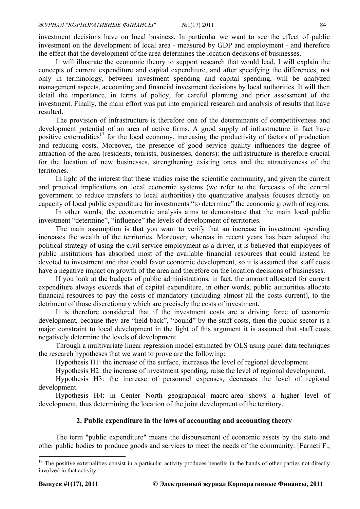investment decisions have on local business. In particular we want to see the effect of public investment on the development of local area - measured by GDP and employment - and therefore the effect that the development of the area determines the location decisions of businesses.

It will illustrate the economic theory to support research that would lead, I will explain the concepts of current expenditure and capital expenditure, and after specifying the differences, not only in terminology, between investment spending and capital spending, will be analyzed management aspects, accounting and financial investment decisions by local authorities. It will then detail the importance, in terms of policy, for careful planning and prior assessment of the investment. Finally, the main effort was put into empirical research and analysis of results that have resulted.

The provision of infrastructure is therefore one of the determinants of competitiveness and development potential of an area of active firms. A good supply of infrastructure in fact have positive externalities<sup>17</sup> for the local economy, increasing the productivity of factors of production and reducing costs. Moreover, the presence of good service quality influences the degree of attraction of the area (residents, tourists, businesses, donors): the infrastructure is therefore crucial for the location of new businesses, strengthening existing ones and the attractiveness of the territories.

In light of the interest that these studies raise the scientific community, and given the current and practical implications on local economic systems (we refer to the forecasts of the central government to reduce transfers to local authorities) the quantitative analysis focuses directly on capacity of local public expenditure for investments "to determine" the economic growth of regions.

In other words, the econometric analysis aims to demonstrate that the main local public investment "determine", "influence" the levels of development of territories.

The main assumption is that you want to verify that an increase in investment spending increases the wealth of the territories. Moreover, whereas in recent years has been adopted the political strategy of using the civil service employment as a driver, it is believed that employees of public institutions has absorbed most of the available financial resources that could instead be devoted to investment and that could favor economic development, so it is assumed that staff costs have a negative impact on growth of the area and therefore on the location decisions of businesses.

If you look at the budgets of public administrations, in fact, the amount allocated for current expenditure always exceeds that of capital expenditure, in other words, public authorities allocate financial resources to pay the costs of mandatory (including almost all the costs current), to the detriment of those discretionary which are precisely the costs of investment.

It is therefore considered that if the investment costs are a driving force of economic development, because they are "held back", "bound" by the staff costs, then the public sector is a major constraint to local development in the light of this argument it is assumed that staff costs negatively determine the levels of development.

Through a multivariate linear regression model estimated by OLS using panel data techniques the research hypotheses that we want to prove are the following:

Hypothesis H1: the increase of the surface, increases the level of regional development.

Hypothesis H2: the increase of investment spending, raise the level of regional development.

Hypothesis H3: the increase of personnel expenses, decreases the level of regional development.

Hypothesis H4: in Center North geographical macro-area shows a higher level of development, thus determining the location of the joint development of the territory.

## **2. Public expenditure in the laws of accounting and accounting theory**

The term "public expenditure" means the disbursement of economic assets by the state and other public bodies to produce goods and services to meet the needs of the community. [Farneti F.,

1

 $17$  The positive externalities consist in a particular activity produces benefits in the hands of other parties not directly involved in that activity.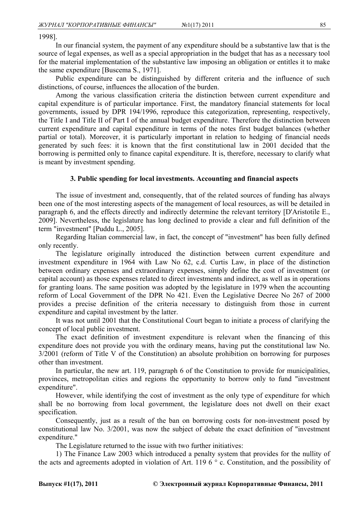1998].

In our financial system, the payment of any expenditure should be a substantive law that is the source of legal expenses, as well as a special appropriation in the budget that has as a necessary tool for the material implementation of the substantive law imposing an obligation or entitles it to make the same expenditure [Buscema S., 1971].

Public expenditure can be distinguished by different criteria and the influence of such distinctions, of course, influences the allocation of the burden.

Among the various classification criteria the distinction between current expenditure and capital expenditure is of particular importance. First, the mandatory financial statements for local governments, issued by DPR 194/1996, reproduce this categorization, representing, respectively, the Title I and Title II of Part I of the annual budget expenditure. Therefore the distinction between current expenditure and capital expenditure in terms of the notes first budget balances (whether partial or total). Moreover, it is particularly important in relation to hedging of financial needs generated by such fees: it is known that the first constitutional law in 2001 decided that the borrowing is permitted only to finance capital expenditure. It is, therefore, necessary to clarify what is meant by investment spending.

## **3. Public spending for local investments. Accounting and financial aspects**

The issue of investment and, consequently, that of the related sources of funding has always been one of the most interesting aspects of the management of local resources, as will be detailed in paragraph 6, and the effects directly and indirectly determine the relevant territory [D'Aristotile E., 2009]. Nevertheless, the legislature has long declined to provide a clear and full definition of the term "investment" [Puddu L., 2005].

Regarding Italian commercial law, in fact, the concept of "investment" has been fully defined only recently.

The legislature originally introduced the distinction between current expenditure and investment expenditure in 1964 with Law No 62, c.d. Curtis Law, in place of the distinction between ordinary expenses and extraordinary expenses, simply define the cost of investment (or capital account) as those expenses related to direct investments and indirect, as well as in operations for granting loans. The same position was adopted by the legislature in 1979 when the accounting reform of Local Government of the DPR No 421. Even the Legislative Decree No 267 of 2000 provides a precise definition of the criteria necessary to distinguish from those in current expenditure and capital investment by the latter.

It was not until 2001 that the Constitutional Court began to initiate a process of clarifying the concept of local public investment.

The exact definition of investment expenditure is relevant when the financing of this expenditure does not provide you with the ordinary means, having put the constitutional law No. 3/2001 (reform of Title V of the Constitution) an absolute prohibition on borrowing for purposes other than investment.

In particular, the new art. 119, paragraph 6 of the Constitution to provide for municipalities, provinces, metropolitan cities and regions the opportunity to borrow only to fund "investment expenditure".

However, while identifying the cost of investment as the only type of expenditure for which shall be no borrowing from local government, the legislature does not dwell on their exact specification.

Consequently, just as a result of the ban on borrowing costs for non-investment posed by constitutional law No. 3/2001, was now the subject of debate the exact definition of "investment expenditure."

The Legislature returned to the issue with two further initiatives:

1) The Finance Law 2003 which introduced a penalty system that provides for the nullity of the acts and agreements adopted in violation of Art. 119 6 ° c. Constitution, and the possibility of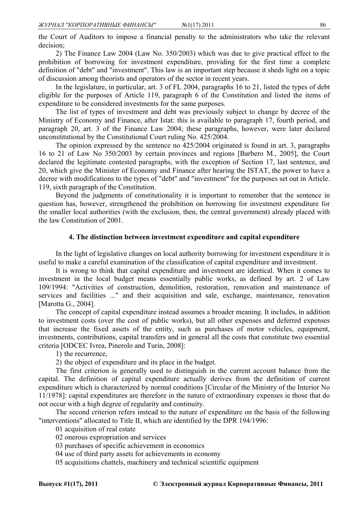the Court of Auditors to impose a financial penalty to the administrators who take the relevant decision;

2) The Finance Law 2004 (Law No. 350/2003) which was due to give practical effect to the prohibition of borrowing for investment expenditure, providing for the first time a complete definition of "debt" and "investment". This law is an important step because it sheds light on a topic of discussion among theorists and operators of the sector in recent years.

In the legislature, in particular, art. 3 of FL 2004, paragraphs 16 to 21, listed the types of debt eligible for the purposes of Article 119, paragraph 6 of the Constitution and listed the items of expenditure to be considered investments for the same purposes.

The list of types of investment and debt was previously subject to change by decree of the Ministry of Economy and Finance, after Istat: this is available to paragraph 17, fourth period, and paragraph 20, art. 3 of the Finance Law 2004; these paragraphs, however, were later declared unconstitutional by the Constitutional Court ruling No. 425/2004.

The opinion expressed by the sentence no 425/2004 originated is found in art. 3, paragraphs 16 to 21 of Law No 350/2003 by certain provinces and regions [Barbero M., 2005], the Court declared the legitimate contested paragraphs, with the exception of Section 17, last sentence, and 20, which give the Minister of Economy and Finance after hearing the ISTAT, the power to have a decree with modifications to the types of "debt" and "investment" for the purposes set out in Article. 119, sixth paragraph of the Constitution.

Beyond the judgments of constitutionality it is important to remember that the sentence in question has, however, strengthened the prohibition on borrowing for investment expenditure for the smaller local authorities (with the exclusion, then, the central government) already placed with the law Constitution of 2001.

#### **4. The distinction between investment expenditure and capital expenditure**

In the light of legislative changes on local authority borrowing for investment expenditure it is useful to make a careful examination of the classification of capital expenditure and investment.

It is wrong to think that capital expenditure and investment are identical. When it comes to investment in the local budget means essentially public works, as defined by art. 2 of Law 109/1994: "Activities of construction, demolition, restoration, renovation and maintenance of services and facilities ..." and their acquisition and sale, exchange, maintenance, renovation [Marotta G., 2004].

The concept of capital expenditure instead assumes a broader meaning. It includes, in addition to investment costs (over the cost of public works), but all other expenses and deferred expenses that increase the fixed assets of the entity, such as purchases of motor vehicles, equipment, investments, contributions, capital transfers and in general all the costs that constitute two essential criteria [ODCEC Ivrea, Pinerolo and Turin, 2008]:

1) the recurrence,

2) the object of expenditure and its place in the budget.

The first criterion is generally used to distinguish in the current account balance from the capital. The definition of capital expenditure actually derives from the definition of current expenditure which is characterized by normal conditions [Circular of the Ministry of the Interior No 11/1978]: capital expenditures are therefore in the nature of extraordinary expenses ie those that do not occur with a high degree of regularity and continuity.

The second criterion refers instead to the nature of expenditure on the basis of the following "interventions" allocated to Title II, which are identified by the DPR 194/1996:

01 acquisition of real estate

02 onerous expropriation and services

- 03 purchases of specific achievement in economics
- 04 use of third party assets for achievements in economy
- 05 acquisitions chattels, machinery and technical scientific equipment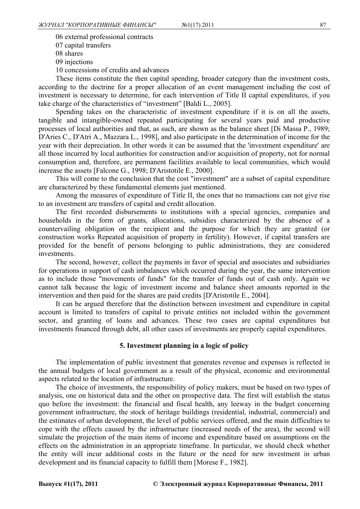06 external professional contracts 07 capital transfers 08 shares 09 injections 10 concessions of credits and advances

These items constitute the then capital spending, broader category than the investment costs, according to the doctrine for a proper allocation of an event management including the cost of investment is necessary to determine, for each intervention of Title II capital expenditures, if you take charge of the characteristics of "investment" [Baldi L., 2005].

Spending takes on the characteristic of investment expenditure if it is on all the assets, tangible and intangible-owned repeated participating for several years paid and productive processes of local authorities and that, as such, are shown as the balance sheet [Di Massa P., 1989; D'Aries C., D'Atri A., Mazzara L., 1998], and also participate in the determination of income for the year with their depreciation. In other words it can be assumed that the 'investment expenditure' are all those incurred by local authorities for construction and/or acquisition of property, not for normal consumption and, therefore, are permanent facilities available to local communities, which would increase the assets [Falcone G., 1998; D'Aristotile E., 2000].

This will come to the conclusion that the cost "investment" are a subset of capital expenditure are characterized by these fundamental elements just mentioned.

Among the measures of expenditure of Title II, the ones that no transactions can not give rise to an investment are transfers of capital and credit allocation.

The first recorded disbursements to institutions with a special agencies, companies and households in the form of grants, allocations, subsidies characterized by the absence of a countervailing obligation on the recipient and the purpose for which they are granted (or construction works Repeated acquisition of property in fertility). However, if capital transfers are provided for the benefit of persons belonging to public administrations, they are considered investments.

The second, however, collect the payments in favor of special and associates and subsidiaries for operations in support of cash imbalances which occurred during the year, the same intervention as to include those "movements of funds" for the transfer of funds out of cash only. Again we cannot talk because the logic of investment income and balance sheet amounts reported in the intervention and then paid for the shares are paid credits [D'Aristotile E., 2004].

It can be argued therefore that the distinction between investment and expenditure in capital account is limited to transfers of capital to private entities not included within the government sector, and granting of loans and advances. These two cases are capital expenditures but investments financed through debt, all other cases of investments are properly capital expenditures.

# **5. Investment planning in a logic of policy**

The implementation of public investment that generates revenue and expenses is reflected in the annual budgets of local government as a result of the physical, economic and environmental aspects related to the location of infrastructure.

The choice of investments, the responsibility of policy makers, must be based on two types of analysis, one on historical data and the other on prospective data. The first will establish the status quo before the investment: the financial and fiscal health, any leeway in the budget concerning government infrastructure, the stock of heritage buildings (residential, industrial, commercial) and the estimates of urban development, the level of public services offered, and the main difficulties to cope with the effects caused by the infrastructure (increased needs of the area), the second will simulate the projection of the main items of income and expenditure based on assumptions on the effects on the administration in an appropriate timeframe. In particular, we should check whether the entity will incur additional costs in the future or the need for new investment in urban development and its financial capacity to fulfill them [Morese F., 1982].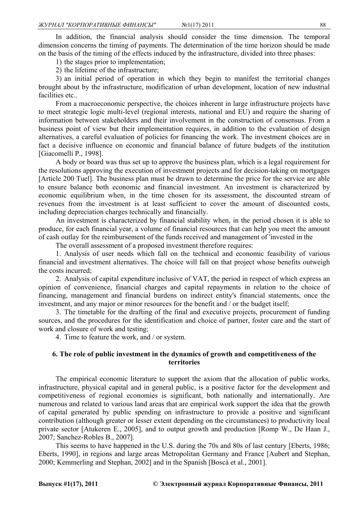In addition, the financial analysis should consider the time dimension. The temporal dimension concerns the timing of payments. The determination of the time horizon should be made on the basis of the timing of the effects induced by the infrastructure, divided into three phases:

1) the stages prior to implementation;

2) the lifetime of the infrastructure;

3) an initial period of operation in which they begin to manifest the territorial changes brought about by the infrastructure, modification of urban development, location of new industrial facilities etc..

From a macroeconomic perspective, the choices inherent in large infrastructure projects have to meet strategic logic multi-level (regional interests, national and EU) and require the sharing of information between stakeholders and their involvement in the construction of consensus. From a business point of view but their implementation requires, in addition to the evaluation of design alternatives, a careful evaluation of policies for financing the work. The investment choices are in fact a decisive influence on economic and financial balance of future budgets of the institution [Giacomelli P., 1998].

A body or board was thus set up to approve the business plan, which is a legal requirement for the resolutions approving the execution of investment projects and for decision-taking on mortgages [Article 200 Tuel]. The business plan must be drawn to determine the price for the service are able to ensure balance both economic and financial investment. An investment is characterized by economic equilibrium when, in the time chosen for its assessment, the discounted stream of revenues from the investment is at least sufficient to cover the amount of discounted costs, including depreciation charges technically and financially.

An investment is characterized by financial stability when, in the period chosen it is able to produce, for each financial year, a volume of financial resources that can help you meet the amount of cash outlay for the reimbursement of the funds received and management of 'invested in the

The overall assessment of a proposed investment therefore requires:

1. Analysis of user needs which fall on the technical and economic feasibility of various financial and investment alternatives. The choice will fall on that project whose benefits outweigh the costs incurred;

2. Analysis of capital expenditure inclusive of VAT, the period in respect of which express an opinion of convenience, financial charges and capital repayments in relation to the choice of financing, management and financial burdens on indirect entity's financial statements, once the investment, and any major or minor resources for the benefit and / or the budget itself;

3. The timetable for the drafting of the final and executive projects, procurement of funding sources, and the procedures for the identification and choice of partner, foster care and the start of work and closure of work and testing;

4. Time to feature the work, and / or system.

# **6. The role of public investment in the dynamics of growth and competitiveness of the territories**

The empirical economic literature to support the axiom that the allocation of public works, infrastructure, physical capital and in general public, is a positive factor for the development and competitiveness of regional economies is significant, both nationally and internationally. Are numerous and related to various land areas that are empirical work support the idea that the growth of capital generated by public spending on infrastructure to provide a positive and significant contribution (although greater or lesser extent depending on the circumstances) to productivity local private sector [Atukeren E., 2005], and to output growth and production [Romp W., De Haan J., 2007; Sanchez-Robles B., 2007].

This seems to have happened in the U.S. during the 70s and 80s of last century [Eberts, 1986; Eberts, 1990], in regions and large areas Metropolitan Germany and France [Aubert and Stephan, 2000; Kemmerling and Stephan, 2002] and in the Spanish [Boscà et al., 2001].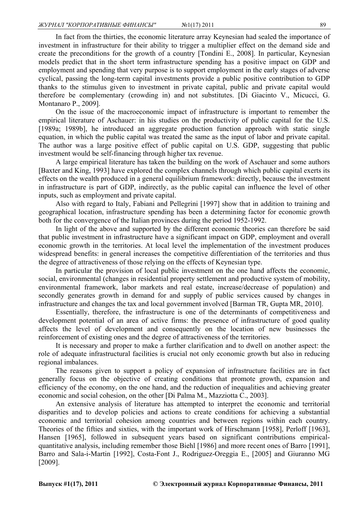In fact from the thirties, the economic literature array Keynesian had sealed the importance of investment in infrastructure for their ability to trigger a multiplier effect on the demand side and create the preconditions for the growth of a country [Tondini E., 2008]. In particular, Keynesian models predict that in the short term infrastructure spending has a positive impact on GDP and employment and spending that very purpose is to support employment in the early stages of adverse cyclical, passing the long-term capital investments provide a public positive contribution to GDP thanks to the stimulus given to investment in private capital, public and private capital would therefore be complementary (crowding in) and not substitutes. [Di Giacinto V., Micucci, G. Montanaro P., 2009].

On the issue of the macroeconomic impact of infrastructure is important to remember the empirical literature of Aschauer: in his studies on the productivity of public capital for the U.S. [1989a; 1989b], he introduced an aggregate production function approach with static single equation, in which the public capital was treated the same as the input of labor and private capital. The author was a large positive effect of public capital on U.S. GDP, suggesting that public investment would be self-financing through higher tax revenue.

A large empirical literature has taken the building on the work of Aschauer and some authors [Baxter and King, 1993] have explored the complex channels through which public capital exerts its effects on the wealth produced in a general equilibrium framework: directly, because the investment in infrastructure is part of GDP, indirectly, as the public capital can influence the level of other inputs, such as employment and private capital.

Also with regard to Italy, Fabiani and Pellegrini [1997] show that in addition to training and geographical location, infrastructure spending has been a determining factor for economic growth both for the convergence of the Italian provinces during the period 1952-1992.

In light of the above and supported by the different economic theories can therefore be said that public investment in infrastructure have a significant impact on GDP, employment and overall economic growth in the territories. At local level the implementation of the investment produces widespread benefits: in general increases the competitive differentiation of the territories and thus the degree of attractiveness of those relying on the effects of Keynesian type.

In particular the provision of local public investment on the one hand affects the economic, social, environmental (changes in residential property settlement and productive system of mobility, environmental framework, labor markets and real estate, increase/decrease of population) and secondly generates growth in demand for and supply of public services caused by changes in infrastructure and changes the tax and local government involved [Barman TR, Gupta MR, 2010].

Essentially, therefore, the infrastructure is one of the determinants of competitiveness and development potential of an area of active firms: the presence of infrastructure of good quality affects the level of development and consequently on the location of new businesses the reinforcement of existing ones and the degree of attractiveness of the territories.

It is necessary and proper to make a further clarification and to dwell on another aspect: the role of adequate infrastructural facilities is crucial not only economic growth but also in reducing regional imbalances.

The reasons given to support a policy of expansion of infrastructure facilities are in fact generally focus on the objective of creating conditions that promote growth, expansion and efficiency of the economy, on the one hand, and the reduction of inequalities and achieving greater economic and social cohesion, on the other [Di Palma M., Mazziotta C., 2003].

An extensive analysis of literature has attempted to interpret the economic and territorial disparities and to develop policies and actions to create conditions for achieving a substantial economic and territorial cohesion among countries and between regions within each country. Theories of the fifties and sixties, with the important work of Hirschmann [1958], Perloff [1963], Hansen [1965], followed in subsequent years based on significant contributions empiricalquantitative analysis, including remember those Biehl [1986] and more recent ones of Barro [1991], Barro and Sala-i-Martin [1992], Costa-Font J., Rodriguez-Oreggia E., [2005] and Giuranno MG [2009].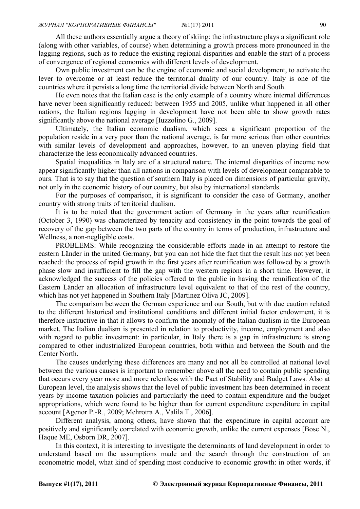All these authors essentially argue a theory of skiing: the infrastructure plays a significant role (along with other variables, of course) when determining a growth process more pronounced in the lagging regions, such as to reduce the existing regional disparities and enable the start of a process of convergence of regional economies with different levels of development.

Own public investment can be the engine of economic and social development, to activate the lever to overcome or at least reduce the territorial duality of our country. Italy is one of the countries where it persists a long time the territorial divide between North and South.

He even notes that the Italian case is the only example of a country where internal differences have never been significantly reduced: between 1955 and 2005, unlike what happened in all other nations, the Italian regions lagging in development have not been able to show growth rates significantly above the national average [Iuzzolino G., 2009].

Ultimately, the Italian economic dualism, which sees a significant proportion of the population reside in a very poor than the national average, is far more serious than other countries with similar levels of development and approaches, however, to an uneven playing field that characterize the less economically advanced countries.

Spatial inequalities in Italy are of a structural nature. The internal disparities of income now appear significantly higher than all nations in comparison with levels of development comparable to ours. That is to say that the question of southern Italy is placed on dimensions of particular gravity, not only in the economic history of our country, but also by international standards.

For the purposes of comparison, it is significant to consider the case of Germany, another country with strong traits of territorial dualism.

It is to be noted that the government action of Germany in the years after reunification (October 3, 1990) was characterized by tenacity and consistency in the point towards the goal of recovery of the gap between the two parts of the country in terms of production, infrastructure and Wellness, a non-negligible costs.

PROBLEMS: While recognizing the considerable efforts made in an attempt to restore the eastern Länder in the united Germany, but you can not hide the fact that the result has not yet been reached: the process of rapid growth in the first years after reunification was followed by a growth phase slow and insufficient to fill the gap with the western regions in a short time. However, it acknowledged the success of the policies offered to the public in having the reunification of the Eastern Länder an allocation of infrastructure level equivalent to that of the rest of the country, which has not yet happened in Southern Italy [Martinez Oliva JC, 2009].

The comparison between the German experience and our South, but with due caution related to the different historical and institutional conditions and different initial factor endowment, it is therefore instructive in that it allows to confirm the anomaly of the Italian dualism in the European market. The Italian dualism is presented in relation to productivity, income, employment and also with regard to public investment: in particular, in Italy there is a gap in infrastructure is strong compared to other industrialized European countries, both within and between the South and the Center North.

The causes underlying these differences are many and not all be controlled at national level between the various causes is important to remember above all the need to contain public spending that occurs every year more and more relentless with the Pact of Stability and Budget Laws. Also at European level, the analysis shows that the level of public investment has been determined in recent years by income taxation policies and particularly the need to contain expenditure and the budget appropriations, which were found to be higher than for current expenditure expenditure in capital account [Agenor P.-R., 2009; Mehrotra A., Valila T., 2006].

Different analysis, among others, have shown that the expenditure in capital account are positively and significantly correlated with economic growth, unlike the current expenses [Bose N., Haque ME, Osborn DR, 2007].

In this context, it is interesting to investigate the determinants of land development in order to understand based on the assumptions made and the search through the construction of an econometric model, what kind of spending most conducive to economic growth: in other words, if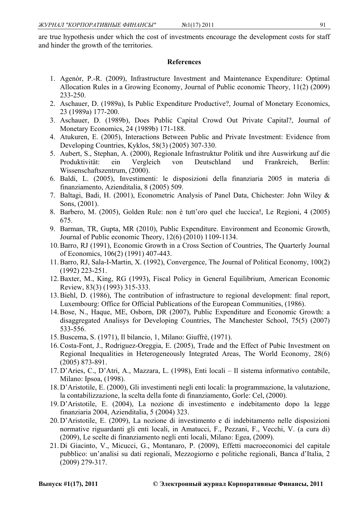# **References**

- 1. Agenòr, P.-R. (2009), Infrastructure Investment and Maintenance Expenditure: Optimal Allocation Rules in a Growing Economy, Journal of Public economic Theory, 11(2) (2009) 233-250.
- 2. Aschauer, D. (1989a), Is Public Expenditure Productive?, Journal of Monetary Economics, 23 (1989a) 177-200.
- 3. Aschauer, D. (1989b), Does Public Capital Crowd Out Private Capital?, Journal of Monetary Economics, 24 (1989b) 171-188.
- 4. Atukuren, E. (2005), Interactions Between Public and Private Investment: Evidence from Developing Countries, Kyklos, 58(3) (2005) 307-330.
- 5. Aubert, S., Stephan, A. (2000), Regionale Infrastruktur Politik und ihre Auswirkung auf die Produktivität: ein Vergleich von Deutschland und Frankreich, Berlin: Wissenschaftszentrum, (2000).
- 6. Baldi, L. (2005), Investimenti: le disposizioni della finanziaria 2005 in materia di finanziamento, Azienditalia, 8 (2005) 509.
- 7. Baltagi, Badi, H. (2001), Econometric Analysis of Panel Data, Chichester: John Wiley & Sons, (2001).
- 8. Barbero, M. (2005), Golden Rule: non è tutt'oro quel che luccica!, Le Regioni, 4 (2005) 675.
- 9. Barman, TR, Gupta, MR (2010), Public Expenditure. Environment and Economic Growth, Journal of Public economic Theory, 12(6) (2010) 1109-1134.
- 10.Barro, RJ (1991), Economic Growth in a Cross Section of Countries, The Quarterly Journal of Economics, 106(2) (1991) 407-443.
- 11.Barro, RJ, Sala-I-Martin, X. (1992), Convergence, The Journal of Political Economy, 100(2) (1992) 223-251.
- 12.Baxter, M., King, RG (1993), Fiscal Policy in General Equilibrium, American Economic Review, 83(3) (1993) 315-333.
- 13.Biehl, D. (1986), The contribution of infrastructure to regional development: final report, Luxembourg: Office for Official Publications of the European Communities, (1986).
- 14.Bose, N., Haque, ME, Osborn, DR (2007), Public Expenditure and Economic Growth: a disaggregated Analisys for Developing Countries, The Manchester School, 75(5) (2007) 533-556.
- 15.Buscema, S. (1971), Il bilancio, 1, Milano: Giuffrè, (1971).
- 16.Costa-Font, J., Rodriguez-Oreggia, E. (2005), Trade and the Effect of Pubic Investment on Regional Inequalities in Heterogeneously Integrated Areas, The World Economy, 28(6) (2005) 873-891.
- 17.D'Aries, C., D'Atri, A., Mazzara, L. (1998), Enti locali Il sistema informativo contabile, Milano: Ipsoa, (1998).
- 18.D'Aristotile, E. (2000), Gli investimenti negli enti locali: la programmazione, la valutazione, la contabilizzazione, la scelta della fonte di finanziamento, Gorle: Cel, (2000).
- 19.D'Aristotile, E. (2004), La nozione di investimento e indebitamento dopo la legge finanziaria 2004, Azienditalia, 5 (2004) 323.
- 20.D'Aristotile, E. (2009), La nozione di investimento e di indebitamento nelle disposizioni normative riguardanti gli enti locali, in Amatucci, F., Pezzani, F., Vecchi, V. (a cura di) (2009), Le scelte di finanziamento negli enti locali, Milano: Egea, (2009).
- 21.Di Giacinto, V., Micucci, G., Montanaro, P. (2009), Effetti macroeconomici del capitale pubblico: un'analisi su dati regionali, Mezzogiorno e politiche regionali, Banca d'Italia, 2 (2009) 279-317.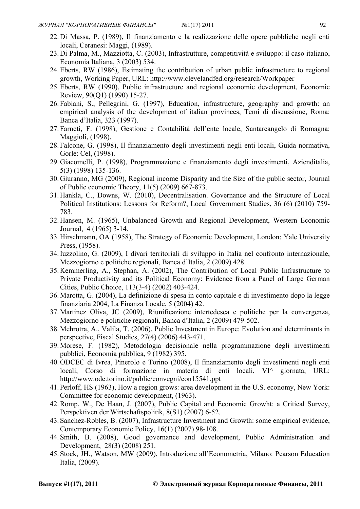- 22.Di Massa, P. (1989), Il finanziamento e la realizzazione delle opere pubbliche negli enti locali, Ceranesi: Maggi, (1989).
- 23.Di Palma, M., Mazziotta, C. (2003), Infrastrutture, competitività e sviluppo: il caso italiano, Economia Italiana, 3 (2003) 534.
- 24.Eberts, RW (1986), Estimating the contribution of urban public infrastructure to regional growth, Working Paper, URL: http://www.clevelandfed.org/research/Workpaper
- 25.Eberts, RW (1990), Public infrastructure and regional economic development, Economic Review, 90(Q1) (1990) 15-27.
- 26. Fabiani, S., Pellegrini, G. (1997), Education, infrastructure, geography and growth: an empirical analysis of the development of italian provinces, Temi di discussione, Roma: Banca d'Italia, 323 (1997).
- 27. Farneti, F. (1998), Gestione e Contabilità dell'ente locale, Santarcangelo di Romagna: Maggioli, (1998).
- 28. Falcone, G. (1998), Il finanziamento degli investimenti negli enti locali, Guida normativa, Gorle: Cel, (1998).
- 29.Giacomelli, P. (1998), Programmazione e finanziamento degli investimenti, Azienditalia, 5(3) (1998) 135-136.
- 30.Giuranno, MG (2009), Regional income Disparity and the Size of the public sector, Journal of Public economic Theory, 11(5) (2009) 667-873.
- 31.Hankla, C., Downs, W. (2010), Decentralisation. Governance and the Structure of Local Political Institutions: Lessons for Reform?, Local Government Studies, 36 (6) (2010) 759- 783.
- 32.Hansen, M. (1965), Unbalanced Growth and Regional Development, Western Economic Journal, 4 (1965) 3-14.
- 33.Hirschmann, OA (1958), The Strategy of Economic Development, London: Yale University Press, (1958).
- 34.Iuzzolino, G. (2009), I divari territoriali di sviluppo in Italia nel confronto internazionale, Mezzogiorno e politiche regionali, Banca d'Italia, 2 (2009) 428.
- 35.Kemmerling, A., Stephan, A. (2002), The Contribution of Local Public Infrastructure to Private Productivity and its Political Economy: Evidence from a Panel of Large German Cities, Public Choice, 113(3-4) (2002) 403-424.
- 36.Marotta, G. (2004), La definizione di spesa in conto capitale e di investimento dopo la legge finanziaria 2004, La Finanza Locale, 5 (2004) 42.
- 37.Martinez Oliva, JC (2009), Riunificazione intertedesca e politiche per la convergenza, Mezzogiorno e politiche regionali, Banca d'Italia, 2 (2009) 479-502.
- 38.Mehrotra, A., Valila, T. (2006), Public Investment in Europe: Evolution and determinants in perspective, Fiscal Studies, 27(4) (2006) 443-471.
- 39.Morese, F. (1982), Metodologia decisionale nella programmazione degli investimenti pubblici, Economia pubblica, 9 (1982) 395.
- 40.ODCEC di Ivrea, Pinerolo e Torino (2008), Il finanziamento degli investimenti negli enti locali, Corso di formazione in materia di enti locali, VI^ giornata, URL: http://www.odc.torino.it/public/convegni/con15541.ppt
- 41. Perloff, HS (1963), How a region grows: area development in the U.S. economy, New York: Committee for economic development, (1963).
- 42.Romp, W., De Haan, J. (2007), Public Capital and Economic Growht: a Critical Survey, Perspektiven der Wirtschaftspolitik, 8(S1) (2007) 6-52.
- 43. Sanchez-Robles, B. (2007), Infrastructure Investment and Growth: some empirical evidence, Contemporary Economic Policy, 16(1) (2007) 98-108.
- 44. Smith, B. (2008), Good governance and development, Public Administration and Development, 28(3) (2008) 251.
- 45. Stock, JH., Watson, MW (2009), Introduzione all'Econometria, Milano: Pearson Education Italia, (2009).